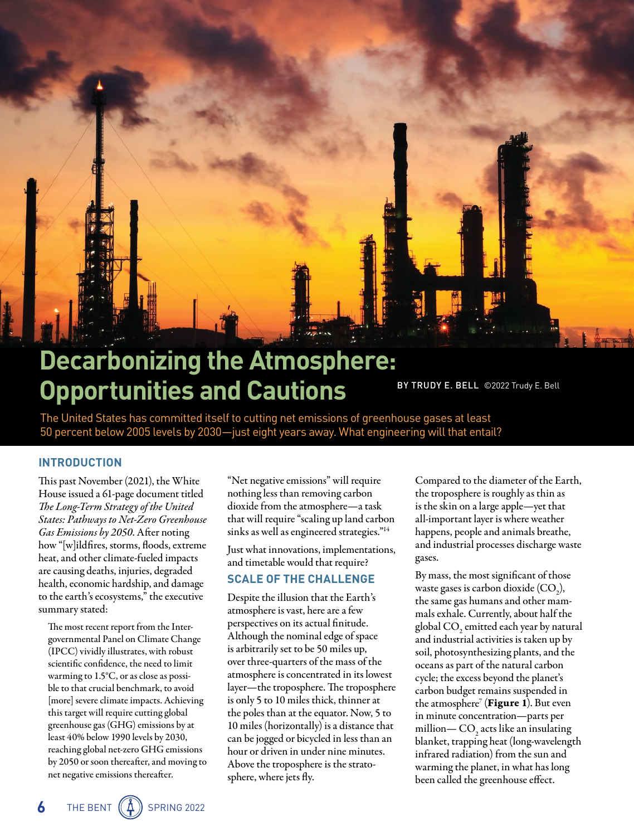

# **Decarbonizing the Atmosphere: Opportunities and Cautions**

BY TRUDY E. BELL ©2022 Trudy E. Bell

The United States has committed itself to cutting net emissions of greenhouse gases at least 50 percent below 2005 levels by 2030—just eight years away. What engineering will that entail?

### **INTRODUCTION**

This past November (2021), the White House issued a 61-page document titled *The Long-Term Strategy of the United States: Pathways to Net-Zero Greenhouse Gas Emissions by 2050*. After noting how "[w]ildfires, storms, floods, extreme heat, and other climate-fueled impacts are causing deaths, injuries, degraded health, economic hardship, and damage to the earth's ecosystems," the executive summary stated:

The most recent report from the Intergovernmental Panel on Climate Change (IPCC) vividly illustrates, with robust scientific confidence, the need to limit warming to 1.5°C, or as close as possible to that crucial benchmark, to avoid [more] severe climate impacts. Achieving this target will require cutting global greenhouse gas (GHG) emissions by at least 40% below 1990 levels by 2030, reaching global net-zero GHG emissions by 2050 or soon thereafter, and moving to net negative emissions thereafter.

"Net negative emissions" will require nothing less than removing carbon dioxide from the atmosphere—a task that will require "scaling up land carbon sinks as well as engineered strategies."<sup>14</sup>

Just what innovations, implementations, and timetable would that require?

# **SCALE OF THE CHALLENGE**

Despite the illusion that the Earth's atmosphere is vast, here are a few perspectives on its actual finitude. Although the nominal edge of space is arbitrarily set to be 50 miles up, over three-quarters of the mass of the atmosphere is concentrated in its lowest layer—the troposphere. The troposphere is only 5 to 10 miles thick, thinner at the poles than at the equator. Now, 5 to 10 miles (horizontally) is a distance that can be jogged or bicycled in less than an hour or driven in under nine minutes. Above the troposphere is the stratosphere, where jets fly.

Compared to the diameter of the Earth, the troposphere is roughly as thin as is the skin on a large apple—yet that all-important layer is where weather happens, people and animals breathe, and industrial processes discharge waste gases.

By mass, the most significant of those waste gases is carbon dioxide  $(CO_2)$ , the same gas humans and other mammals exhale. Currently, about half the global CO<sub>2</sub> emitted each year by natural and industrial activities is taken up by soil, photosynthesizing plants, and the oceans as part of the natural carbon cycle; the excess beyond the planet's carbon budget remains suspended in the atmosphere<sup>7</sup> (**Figure 1**). But even in minute concentration—parts per million— $\text{CO}_2$  acts like an insulating blanket, trapping heat (long-wavelength infrared radiation) from the sun and warming the planet, in what has long been called the greenhouse effect.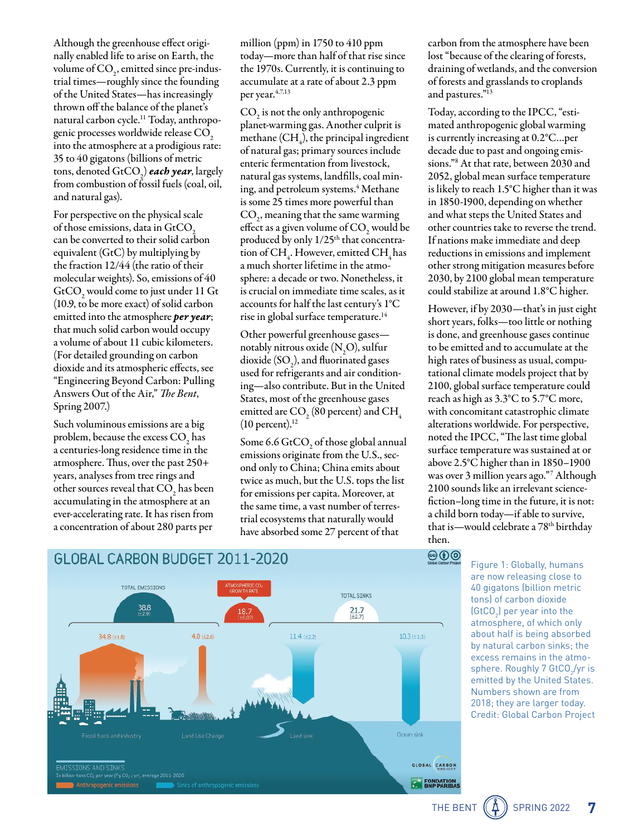Although the greenhouse effect originally enabled life to arise on Earth, the volume of CO<sub>2</sub>, emitted since pre-industrial times—roughly since the founding of the United States—has increasingly thrown off the balance of the planet's natural carbon cycle.11 Today, anthropogenic processes worldwide release CO<sub>2</sub> into the atmosphere at a prodigious rate: 35 to 40 gigatons (billions of metric tons, denoted GtCO<sub>2</sub>) *each year*, largely from combustion of fossil fuels (coal, oil, and natural gas).

For perspective on the physical scale of those emissions, data in  $GtCO<sub>2</sub>$ can be converted to their solid carbon equivalent (GtC) by multiplying by the fraction 12/44 (the ratio of their molecular weights). So, emissions of 40  $GtCO<sub>2</sub>$  would come to just under 11 Gt (10.9, to be more exact) of solid carbon emitted into the atmosphere *per year*; that much solid carbon would occupy a volume of about 11 cubic kilometers. (For detailed grounding on carbon dioxide and its atmospheric effects, see "Engineering Beyond Carbon: Pulling Answers Out of the Air," *The Bent*, Spring 2007.)

Such voluminous emissions are a big problem, because the excess  $\mathrm{CO}_2^{\vphantom{\dagger}}$  has a centuries-long residence time in the atmosphere. Thus, over the past 250+ years, analyses from tree rings and other sources reveal that  $\mathrm{CO}_2^+$  has been accumulating in the atmosphere at an ever-accelerating rate. It has risen from a concentration of about 280 parts per

million (ppm) in 1750 to 410 ppm today—more than half of that rise since the 1970s. Currently, it is continuing to accumulate at a rate of about 2.3 ppm per year.  $4,7,13$ 

 $\mathrm{CO}_2$  is not the only anthropogenic planet-warming gas. Another culprit is methane (CH<sub>4</sub>), the principal ingredient of natural gas; primary sources include enteric fermentation from livestock, natural gas systems, landfills, coal mining, and petroleum systems.4 Methane is some 25 times more powerful than  $\mathrm{CO}_2$ , meaning that the same warming effect as a given volume of  $\mathrm{CO}_\text{2}$  would be produced by only 1/25<sup>th</sup> that concentration of CH<sub>4</sub>. However, emitted CH<sub>4</sub> has a much shorter lifetime in the atmosphere: a decade or two. Nonetheless, it is crucial on immediate time scales, as it accounts for half the last century's 1°C rise in global surface temperature.14

Other powerful greenhouse gases notably nitrous oxide  $(N_2O)$ , sulfur dioxide  $(SO_2)$ , and fluorinated gases used for refrigerants and air conditioning—also contribute. But in the United States, most of the greenhouse gases emitted are  $\mathrm{CO}_\mathrm{_{2}}(80\,\mathrm{percent})$  and  $\mathrm{CH}_\mathrm{_{4}}$  $(10$  percent).<sup>12</sup>

Some 6.6  $\text{GtCO}_2$  of those global annual emissions originate from the U.S., second only to China; China emits about twice as much, but the U.S. tops the list for emissions per capita. Moreover, at the same time, a vast number of terrestrial ecosystems that naturally would have absorbed some 27 percent of that

carbon from the atmosphere have been lost "because of the clearing of forests, draining of wetlands, and the conversion of forests and grasslands to croplands and pastures."13

Today, according to the IPCC, "estimated anthropogenic global warming is currently increasing at 0.2°C…per decade due to past and ongoing emissions."8 At that rate, between 2030 and 2052, global mean surface temperature is likely to reach 1.5°C higher than it was in 1850-1900, depending on whether and what steps the United States and other countries take to reverse the trend. If nations make immediate and deep reductions in emissions and implement other strong mitigation measures before 2030, by 2100 global mean temperature could stabilize at around 1.8°C higher.

However, if by 2030—that's in just eight short years, folks—too little or nothing is done, and greenhouse gases continue to be emitted and to accumulate at the high rates of business as usual, computational climate models project that by 2100, global surface temperature could reach as high as 3.3°C to 5.7°C more, with concomitant catastrophic climate alterations worldwide. For perspective, noted the IPCC, "The last time global surface temperature was sustained at or above 2.5°C higher than in 1850–1900 was over 3 million years ago."7 Although 2100 sounds like an irrelevant sciencefiction–long time in the future, it is not: a child born today—if able to survive, that is—would celebrate a 78th birthday then.



# $\circledcirc$

Figure 1: Globally, humans are now releasing close to 40 gigatons (billion metric tons) of carbon dioxide (GtCO $_{2}$ ) per year into the atmosphere, of which only about half is being absorbed by natural carbon sinks; the excess remains in the atmosphere. Roughly 7 GtCO<sub>2</sub>/yr is emitted by the United States. Numbers shown are from 2018; they are larger today. Credit: Global Carbon Project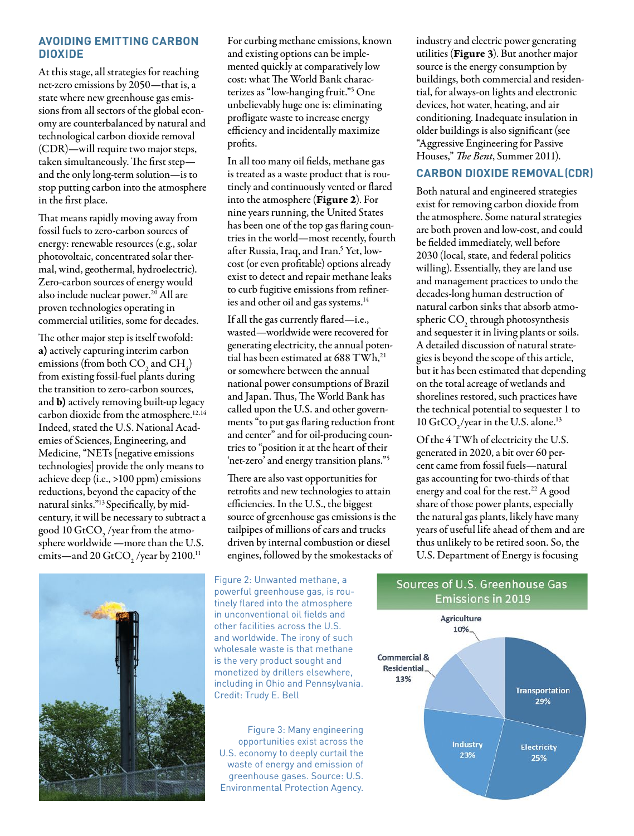# **AVOIDING EMITTING CARBON DIOXIDE**

At this stage, all strategies for reaching net-zero emissions by 2050—that is, a state where new greenhouse gas emissions from all sectors of the global economy are counterbalanced by natural and technological carbon dioxide removal (CDR)—will require two major steps, taken simultaneously. The first step and the only long-term solution—is to stop putting carbon into the atmosphere in the first place.

That means rapidly moving away from fossil fuels to zero-carbon sources of energy: renewable resources (e.g., solar photovoltaic, concentrated solar thermal, wind, geothermal, hydroelectric). Zero-carbon sources of energy would also include nuclear power.<sup>20</sup> All are proven technologies operating in commercial utilities, some for decades.

The other major step is itself twofold: a) actively capturing interim carbon emissions (from both  $\mathrm{CO}_2^{}$  and  $\mathrm{CH}_4^{}$ ) from existing fossil-fuel plants during the transition to zero-carbon sources, and b) actively removing built-up legacy carbon dioxide from the atmosphere.<sup>12,14</sup> Indeed, stated the U.S. National Academies of Sciences, Engineering, and Medicine, "NETs [negative emissions technologies] provide the only means to achieve deep (i.e., >100 ppm) emissions reductions, beyond the capacity of the natural sinks."13 Specifically, by midcentury, it will be necessary to subtract a good 10 GtCO $_{{}_2}$ /year from the atmosphere worldwide —more than the U.S. emits—and 20  $\text{GtCO}_2$  /year by 2100.<sup>11</sup>



For curbing methane emissions, known and existing options can be implemented quickly at comparatively low cost: what The World Bank characterizes as "low-hanging fruit."5 One unbelievably huge one is: eliminating profligate waste to increase energy efficiency and incidentally maximize profits.

In all too many oil fields, methane gas is treated as a waste product that is routinely and continuously vented or flared into the atmosphere (Figure 2). For nine years running, the United States has been one of the top gas flaring countries in the world—most recently, fourth after Russia, Iraq, and Iran.<sup>5</sup> Yet, lowcost (or even profitable) options already exist to detect and repair methane leaks to curb fugitive emissions from refineries and other oil and gas systems.<sup>14</sup>

If all the gas currently flared—i.e., wasted—worldwide were recovered for generating electricity, the annual potential has been estimated at 688 TWh,<sup>21</sup> or somewhere between the annual national power consumptions of Brazil and Japan. Thus, The World Bank has called upon the U.S. and other governments "to put gas flaring reduction front and center" and for oil-producing countries to "position it at the heart of their 'net-zero' and energy transition plans."5

There are also vast opportunities for retrofits and new technologies to attain efficiencies. In the U.S., the biggest source of greenhouse gas emissions is the tailpipes of millions of cars and trucks driven by internal combustion or diesel engines, followed by the smokestacks of

Figure 2: Unwanted methane, a powerful greenhouse gas, is routinely flared into the atmosphere in unconventional oil fields and other facilities across the U.S. and worldwide. The irony of such wholesale waste is that methane is the very product sought and monetized by drillers elsewhere, including in Ohio and Pennsylvania. Credit: Trudy E. Bell

Figure 3: Many engineering opportunities exist across the U.S. economy to deeply curtail the waste of energy and emission of greenhouse gases. Source: U.S. Environmental Protection Agency.

industry and electric power generating utilities (Figure 3). But another major source is the energy consumption by buildings, both commercial and residential, for always-on lights and electronic devices, hot water, heating, and air conditioning. Inadequate insulation in older buildings is also significant (see "Aggressive Engineering for Passive Houses," *The Bent*, Summer 2011).

# **CARBON DIOXIDE REMOVAL (CDR)**

Both natural and engineered strategies exist for removing carbon dioxide from the atmosphere. Some natural strategies are both proven and low-cost, and could be fielded immediately, well before 2030 (local, state, and federal politics willing). Essentially, they are land use and management practices to undo the decades-long human destruction of natural carbon sinks that absorb atmospheric  $\text{CO}_2$  through photosynthesis and sequester it in living plants or soils. A detailed discussion of natural strategies is beyond the scope of this article, but it has been estimated that depending on the total acreage of wetlands and shorelines restored, such practices have the technical potential to sequester 1 to 10  $\text{GtCO}_2/\text{year}$  in the U.S. alone.<sup>13</sup>

Of the 4 TWh of electricity the U.S. generated in 2020, a bit over 60 percent came from fossil fuels—natural gas accounting for two-thirds of that energy and coal for the rest.<sup>22</sup> A good share of those power plants, especially the natural gas plants, likely have many years of useful life ahead of them and are thus unlikely to be retired soon. So, the U.S. Department of Energy is focusing



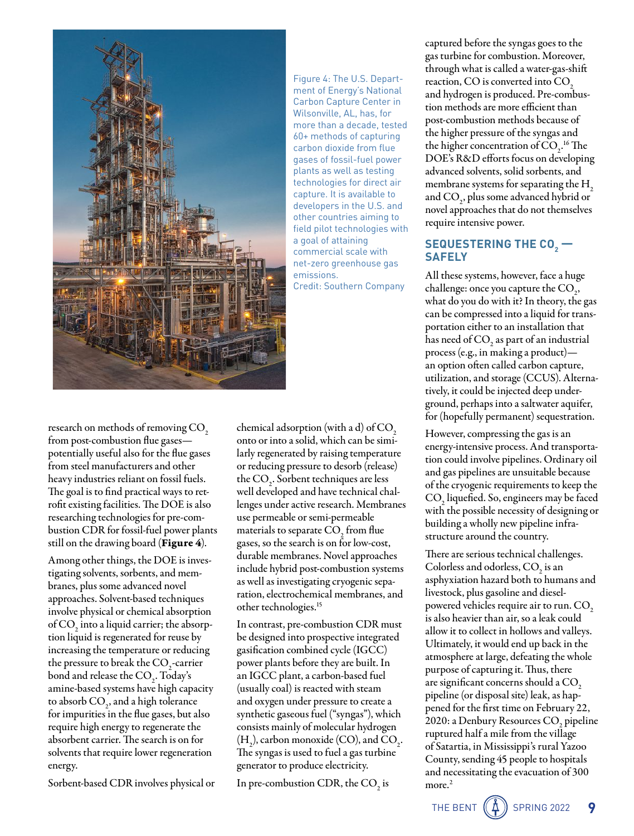

Figure 4: The U.S. Department of Energy's National Carbon Capture Center in Wilsonville, AL, has, for more than a decade, tested 60+ methods of capturing carbon dioxide from flue gases of fossil-fuel power plants as well as testing technologies for direct air capture. It is available to developers in the U.S. and other countries aiming to field pilot technologies with a goal of attaining commercial scale with net-zero greenhouse gas emissions. Credit: Southern Company

research on methods of removing  $CO<sub>2</sub>$ from post-combustion flue gases potentially useful also for the flue gases from steel manufacturers and other heavy industries reliant on fossil fuels. The goal is to find practical ways to retrofit existing facilities. The DOE is also researching technologies for pre-combustion CDR for fossil-fuel power plants still on the drawing board (**Figure 4**).

Among other things, the DOE is investigating solvents, sorbents, and membranes, plus some advanced novel approaches. Solvent-based techniques involve physical or chemical absorption of  $\mathrm{CO}_2$  into a liquid carrier; the absorption liquid is regenerated for reuse by increasing the temperature or reducing the pressure to break the  $CO_2$ -carrier bond and release the  $CO<sub>2</sub>$ . Today's amine-based systems have high capacity to absorb  $\mathrm{CO}_2$ , and a high tolerance for impurities in the flue gases, but also require high energy to regenerate the absorbent carrier. The search is on for solvents that require lower regeneration energy.

Sorbent-based CDR involves physical or

chemical adsorption (with a d) of  $CO<sub>2</sub>$ onto or into a solid, which can be similarly regenerated by raising temperature or reducing pressure to desorb (release) the CO<sub>2</sub>. Sorbent techniques are less well developed and have technical challenges under active research. Membranes use permeable or semi-permeable materials to separate CO<sub>2</sub> from flue gases, so the search is on for low-cost, durable membranes. Novel approaches include hybrid post-combustion systems as well as investigating cryogenic separation, electrochemical membranes, and other technologies.15

In contrast, pre-combustion CDR must be designed into prospective integrated gasification combined cycle (IGCC) power plants before they are built. In an IGCC plant, a carbon-based fuel (usually coal) is reacted with steam and oxygen under pressure to create a synthetic gaseous fuel ("syngas"), which consists mainly of molecular hydrogen  $(H_2)$ , carbon monoxide (CO), and CO<sub>2</sub>. The syngas is used to fuel a gas turbine generator to produce electricity.

In pre-combustion CDR, the  $\mathrm{CO}_2$  is

captured before the syngas goes to the gas turbine for combustion. Moreover, through what is called a water-gas-shift reaction, CO is converted into CO<sub>2</sub> and hydrogen is produced. Pre-combustion methods are more efficient than post-combustion methods because of the higher pressure of the syngas and the higher concentration of  $CO<sub>2</sub>$ .<sup>16</sup> The DOE's R&D efforts focus on developing advanced solvents, solid sorbents, and membrane systems for separating the  $H<sub>2</sub>$ and  $CO<sub>2</sub>$ , plus some advanced hybrid or novel approaches that do not themselves require intensive power.

# $\frac{1}{2}$ **SEQUESTERING THE CO<sub>2</sub> SAFELY**

All these systems, however, face a huge challenge: once you capture the  $CO<sub>2</sub>$ , what do you do with it? In theory, the gas can be compressed into a liquid for transportation either to an installation that has need of  $\mathrm{CO}_2$  as part of an industrial process (e.g., in making a product) an option often called carbon capture, utilization, and storage (CCUS). Alternatively, it could be injected deep underground, perhaps into a saltwater aquifer, for (hopefully permanent) sequestration.

However, compressing the gas is an energy-intensive process. And transportation could involve pipelines. Ordinary oil and gas pipelines are unsuitable because of the cryogenic requirements to keep the  $\mathrm{CO}_2$  liquefied. So, engineers may be faced with the possible necessity of designing or building a wholly new pipeline infrastructure around the country.

There are serious technical challenges. Colorless and odorless,  $CO<sub>2</sub>$  is an asphyxiation hazard both to humans and livestock, plus gasoline and dieselpowered vehicles require air to run. CO<sub>2</sub> is also heavier than air, so a leak could allow it to collect in hollows and valleys. Ultimately, it would end up back in the atmosphere at large, defeating the whole purpose of capturing it. Thus, there are significant concerns should a  $CO<sub>2</sub>$ pipeline (or disposal site) leak, as happened for the first time on February 22, 2020: a Denbury Resources  $\mathrm{CO}_2^{}$  pipeline ruptured half a mile from the village of Satartia, in Mississippi's rural Yazoo County, sending 45 people to hospitals and necessitating the evacuation of 300 more.<sup>2</sup>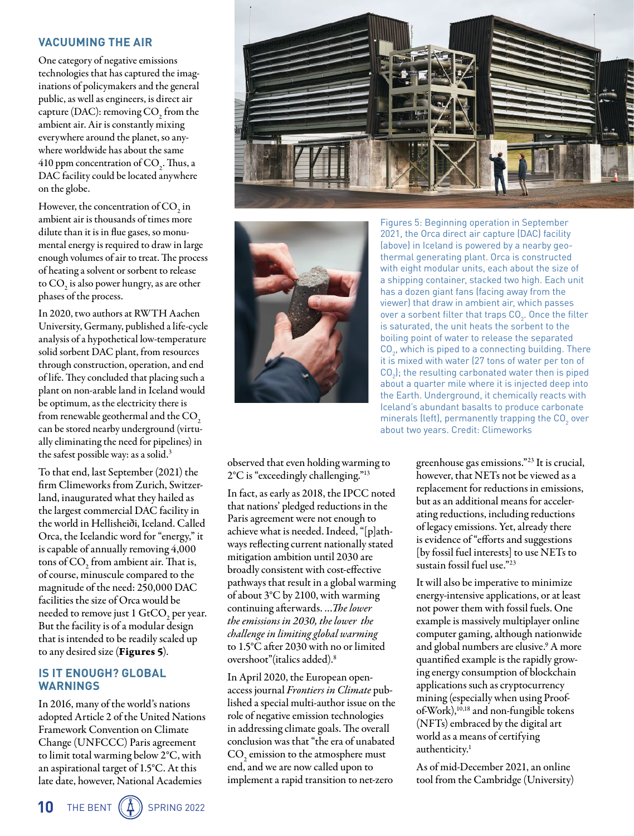# **VACUUMING THE AIR**

One category of negative emissions technologies that has captured the imaginations of policymakers and the general public, as well as engineers, is direct air capture (DAC): removing  $\mathrm{CO}_2^{\vphantom{\dagger}}$  from the ambient air. Air is constantly mixing everywhere around the planet, so anywhere worldwide has about the same 410 ppm concentration of  $\mathrm{CO}_2^{\scriptscriptstyle{-}}$ . Thus, a DAC facility could be located anywhere on the globe.

However, the concentration of CO<sub>2</sub> in ambient air is thousands of times more dilute than it is in flue gases, so monumental energy is required to draw in large enough volumes of air to treat. The process of heating a solvent or sorbent to release to  $\mathrm{CO}_2^{}$  is also power hungry, as are other phases of the process.

In 2020, two authors at RWTH Aachen University, Germany, published a life-cycle analysis of a hypothetical low-temperature solid sorbent DAC plant, from resources through construction, operation, and end of life. They concluded that placing such a plant on non-arable land in Iceland would be optimum, as the electricity there is from renewable geothermal and the  $CO<sub>2</sub>$ can be stored nearby underground (virtually eliminating the need for pipelines) in the safest possible way: as a solid. 3

To that end, last September (2021) the firm Climeworks from Zurich, Switzerland, inaugurated what they hailed as the largest commercial DAC facility in the world in Hellisheiði, Iceland. Called Orca, the Icelandic word for "energy," it is capable of annually removing 4,000 tons of  $CO_2$  from ambient air. That is, of course, minuscule compared to the magnitude of the need: 250,000 DAC facilities the size of Orca would be needed to remove just 1  $\rm GtCO_{2}$  per year. But the facility is of a modular design that is intended to be readily scaled up to any desired size (Figures 5).

# **IS IT ENOUGH? GLOBAL WARNINGS**

In 2016, many of the world's nations adopted Article 2 of the United Nations Framework Convention on Climate Change (UNFCCC) Paris agreement to limit total warming below 2°C, with an aspirational target of 1.5°C. At this late date, however, National Academies





Figures 5: Beginning operation in September 2021, the Orca direct air capture (DAC) facility (above) in Iceland is powered by a nearby geothermal generating plant. Orca is constructed with eight modular units, each about the size of a shipping container, stacked two high. Each unit has a dozen giant fans (facing away from the viewer) that draw in ambient air, which passes over a sorbent filter that traps CO $_2^{\vphantom{\dagger}}$  . Once the filter is saturated, the unit heats the sorbent to the boiling point of water to release the separated  $\mathsf{CO}_{2^{\prime}}$  which is piped to a connecting building. There it is mixed with water (27 tons of water per ton of  ${\sf CO}_2$ ); the resulting carbonated water then is piped about a quarter mile where it is injected deep into the Earth. Underground, it chemically reacts with Iceland's abundant basalts to produce carbonate minerals (left), permanently trapping the CO $_{\textrm{\tiny{2}}}$  over about two years. Credit: Climeworks

observed that even holding warming to 2°C is "exceedingly challenging."13

In fact, as early as 2018, the IPCC noted that nations' pledged reductions in the Paris agreement were not enough to achieve what is needed. Indeed, "[p]athways reflecting current nationally stated mitigation ambition until 2030 are broadly consistent with cost-effective pathways that result in a global warming of about 3°C by 2100, with warming continuing afterwards. …*The lower the emissions in 2030, the lower the challenge in limiting global warming* to 1.5°C after 2030 with no or limited overshoot"(italics added).8

In April 2020, the European openaccess journal *Frontiers in Climate* published a special multi-author issue on the role of negative emission technologies in addressing climate goals. The overall conclusion was that "the era of unabated  $\mathrm{CO}_2$  emission to the atmosphere must end, and we are now called upon to implement a rapid transition to net-zero

greenhouse gas emissions."23 It is crucial, however, that NETs not be viewed as a replacement for reductions in emissions, but as an additional means for accelerating reductions, including reductions of legacy emissions. Yet, already there is evidence of "efforts and suggestions [bv fossil fuel interests] to use NETs to sustain fossil fuel use."23

It will also be imperative to minimize energy-intensive applications, or at least not power them with fossil fuels. One example is massively multiplayer online computer gaming, although nationwide and global numbers are elusive.9 A more quantified example is the rapidly growing energy consumption of blockchain applications such as cryptocurrency mining (especially when using Proofof-Work),<sup>10,18</sup> and non-fungible tokens (NFTs) embraced by the digital art world as a means of certifying authenticity.<sup>1</sup>

As of mid-December 2021, an online tool from the Cambridge (University)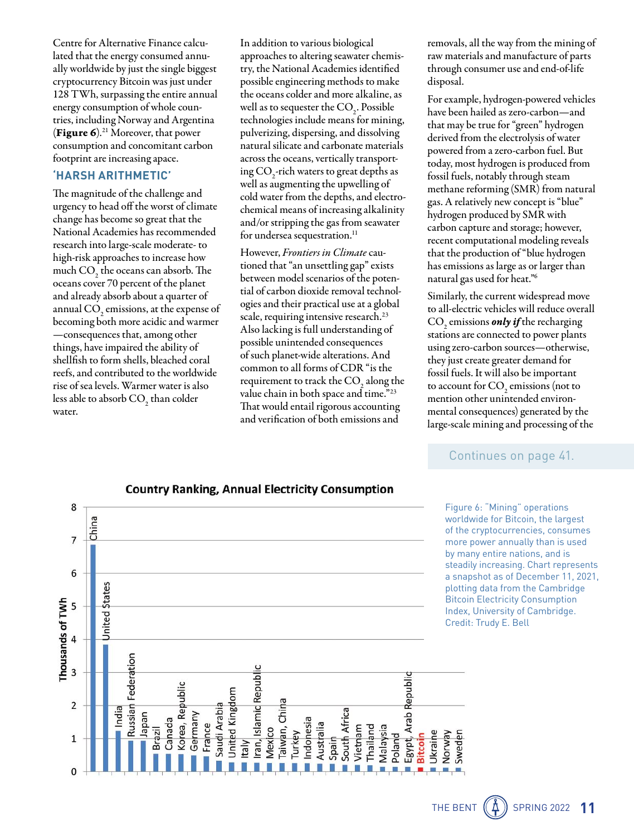Centre for Alternative Finance calculated that the energy consumed annually worldwide by just the single biggest cryptocurrency Bitcoin was just under 128 TWh, surpassing the entire annual energy consumption of whole countries, including Norway and Argentina (Figure 6).21 Moreover, that power consumption and concomitant carbon footprint are increasing apace.

# **'HARSH ARITHMETIC'**

The magnitude of the challenge and urgency to head off the worst of climate change has become so great that the National Academies has recommended research into large-scale moderate- to high-risk approaches to increase how much  $\text{CO}_2^{\text{}}$  the oceans can absorb. The oceans cover 70 percent of the planet and already absorb about a quarter of annual CO<sub>2</sub> emissions, at the expense of becoming both more acidic and warmer —consequences that, among other things, have impaired the ability of shell fish to form shells, bleached coral reefs, and contributed to the worldwide rise of sea levels. Warmer water is also less able to absorb  $\mathrm{CO}_2^{}$  than colder water.

In addition to various biological approaches to altering seawater chemistry, the National Academies identified possible engineering methods to make the oceans colder and more alkaline, as well as to sequester the  $CO<sub>2</sub>$ . Possible technologies include means for mining, pulverizing, dispersing, and dissolving natural silicate and carbonate materials across the oceans, vertically transporting  $CO_2$ -rich waters to great depths as well as augmenting the upwelling of cold water from the depths, and electrochemical means of increasing alkalinity and/or stripping the gas from seawater for undersea sequestration.<sup>11</sup>

However, *Frontiers in Climate* cautioned that "an unsettling gap" exists between model scenarios of the potential of carbon dioxide removal technologies and their practical use at a global scale, requiring intensive research.<sup>23</sup> Also lacking is full understanding of possible unintended consequences of such planet-wide alterations. And common to all forms of CDR "is the requirement to track the  $\mathrm{CO}_2^{}$  along the value chain in both space and time."23 That would entail rigorous accounting and verification of both emissions and

removals, all the way from the mining of raw materials and manufacture of parts through consumer use and end-of-life disposal.

For example, hydrogen-powered vehicles have been hailed as zero-carbon—and that may be true for "green" hydrogen derived from the electrolysis of water powered from a zero-carbon fuel. But today, most hydrogen is produced from fossil fuels, notably through steam methane reforming (SMR) from natural gas. A relatively new concept is "blue" hydrogen produced by SMR with carbon capture and storage; however, recent computational modeling reveals that the production of "blue hydrogen has emissions as large as or larger than natural gas used for heat."6

Similarly, the current widespread move to all-electric vehicles will reduce overall CO2 emissions *only if* the recharging stations are connected to power plants using zero-carbon sources—otherwise, they just create greater demand for fossil fuels. It will also be important to account for  $\mathrm{CO}_2$  emissions (not to mention other unintended environmental consequences) generated by the large-scale mining and processing of the

# Continues on page 41.

Figure 6: "Mining" operations worldwide for Bitcoin, the largest of the cryptocurrencies, consumes more power annually than is used by many entire nations, and is steadily increasing. Chart represents a snapshot as of December 11, 2021, plotting data from the Cambridge Bitcoin Electricity Consumption Index, University of Cambridge. Credit: Trudy E. Bell